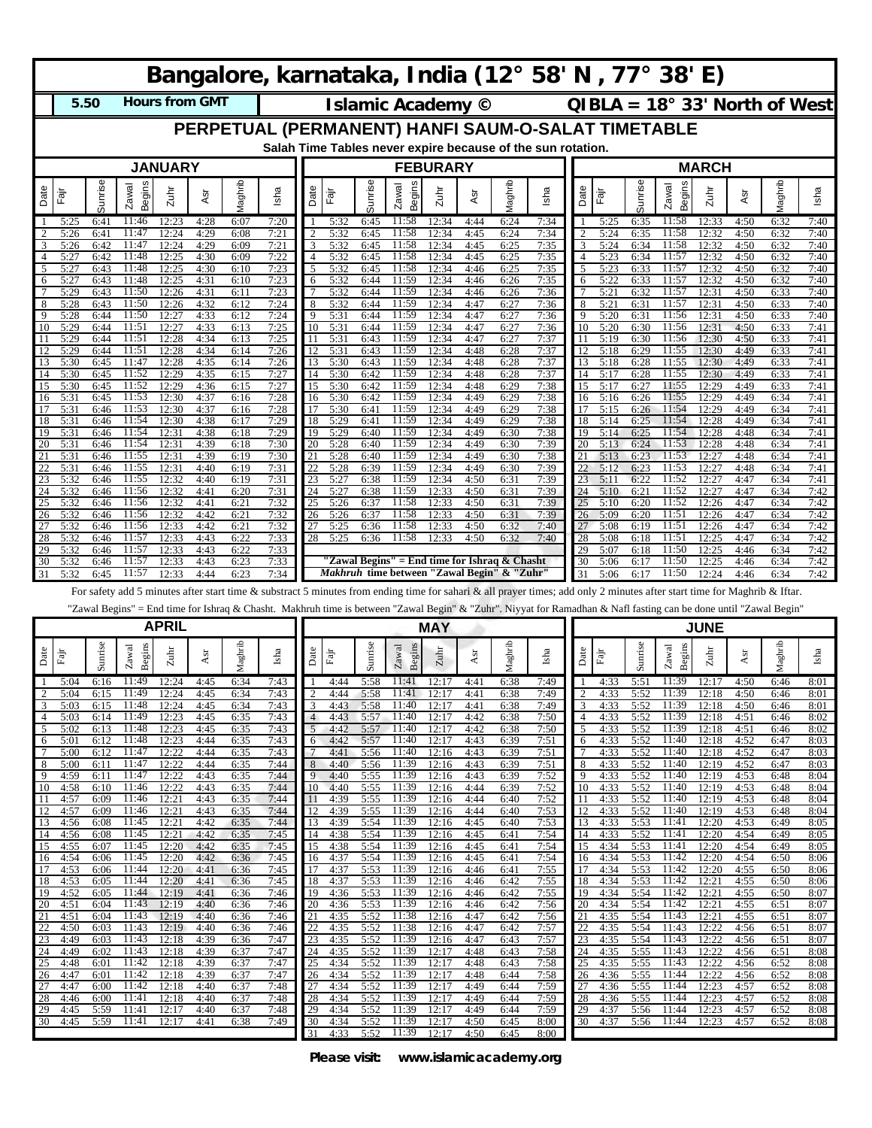| Bangalore, karnataka, India (12° 58' N, 77° 38' E)                                                                                                                       |                                              |                      |                                        |                      |                          |                         |                      |                                              |                      |                      |                      |                      |                         |                         |                      |                                 |                      |  |  |  |  |  |
|--------------------------------------------------------------------------------------------------------------------------------------------------------------------------|----------------------------------------------|----------------------|----------------------------------------|----------------------|--------------------------|-------------------------|----------------------|----------------------------------------------|----------------------|----------------------|----------------------|----------------------|-------------------------|-------------------------|----------------------|---------------------------------|----------------------|--|--|--|--|--|
| <b>Hours from GMT</b><br>5.50                                                                                                                                            |                                              |                      |                                        |                      | <b>Islamic Academy ©</b> |                         |                      |                                              |                      |                      |                      |                      |                         |                         |                      | $QIBLA = 18° 33'$ North of West |                      |  |  |  |  |  |
| PERPETUAL (PERMANENT) HANFI SAUM-O-SALAT TIMETABLE                                                                                                                       |                                              |                      |                                        |                      |                          |                         |                      |                                              |                      |                      |                      |                      |                         |                         |                      |                                 |                      |  |  |  |  |  |
| Salah Time Tables never expire because of the sun rotation.                                                                                                              |                                              |                      |                                        |                      |                          |                         |                      |                                              |                      |                      |                      |                      |                         |                         |                      |                                 |                      |  |  |  |  |  |
| <b>JANUARY</b><br><b>FEBURARY</b>                                                                                                                                        |                                              |                      |                                        |                      |                          |                         |                      |                                              |                      |                      |                      | <b>MARCH</b>         |                         |                         |                      |                                 |                      |  |  |  |  |  |
| Sunrise<br>Begins<br>Zawal<br>Date<br>$2$ uhr<br>Fāj                                                                                                                     | Maghrib<br>ēÅ                                | Isha                 | Date<br>Fajr                           | Sunrise              | <b>Begins</b><br>Zawal   | Zuhr                    | ēÅ                   | Maghrib                                      | Isha                 | Date                 | Fājr                 | Sunrise              | <b>Begins</b><br>Zawal  | Zuhr                    | Asr                  | Maghrib                         | Isha                 |  |  |  |  |  |
|                                                                                                                                                                          |                                              |                      |                                        |                      |                          |                         |                      |                                              |                      |                      |                      |                      |                         |                         |                      |                                 |                      |  |  |  |  |  |
| 11:46<br>12:23<br>5:25<br>6:41<br>11:47<br>$\overline{c}$<br>5:26<br>6:41<br>12:24                                                                                       | 4:28<br>6:07<br>4:29<br>6:08                 | 7:20<br>7:21         | 5:32<br>2<br>5:32                      | 6:45<br>6:45         | 11:58<br>11:58           | 12:34<br>12:34          | 4:44<br>4:45         | 6:24<br>6:24                                 | 7:34<br>7:34         | $\overline{2}$       | 5:25<br>5:24         | 6:35<br>6:35         | 11:58<br>11:58          | 12:33<br>12:32          | 4:50<br>4:50         | 6:32<br>6:32                    | 7:40<br>7:40         |  |  |  |  |  |
| 11:47<br>5:26<br>6:42<br>12:24<br>11:48                                                                                                                                  | 4:29<br>6:09                                 | 7:21                 | 3<br>5:32                              | 6:45                 | 11:58<br>11:58           | 12:34                   | 4:45                 | 6:25                                         | 7:35                 | 3                    | 5:24                 | 6:34                 | 11:58<br>11:57          | 12:32                   | 4:50                 | 6:32                            | 7:40                 |  |  |  |  |  |
| 5:27<br>6:42<br>12:25<br>11:48<br>5:27<br>6:43<br>12:25                                                                                                                  | 4:30<br>6:09<br>4:30<br>6:10                 | 7:22<br>7:23         | 5:32<br>4<br>5<br>5:32                 | 6:45<br>6:45         | 11:58                    | 12:34<br>12:34          | 4:45<br>4:46         | 6:25<br>6:25                                 | 7:35<br>7:35         | $\overline{4}$<br>5  | 5:23<br>5:23         | 6:34<br>6:33         | 11:57                   | 12:32<br>12:32          | 4:50<br>4:50         | 6:32<br>6:32                    | 7:40<br>7:40         |  |  |  |  |  |
| 11:48<br>5:27<br>12:25<br>6:43<br>6<br>5:29<br>11:50<br>12:26<br>6:43                                                                                                    | 4:31<br>6:10<br>4:31<br>6:11                 | 7:23<br>7:23         | 5:32<br>6<br>5:32                      | 6:44<br>6:44         | 11:59<br>11:59           | 12:34<br>12:34          | 4:46<br>4:46         | 6:26<br>6:26                                 | 7:35<br>7:36         | 6                    | 5:22<br>5:21         | 6:33<br>6:32         | 11:57<br>11:57          | 12:32<br>12:31          | 4:50<br>4:50         | 6:32<br>6:33                    | 7:40<br>7:40         |  |  |  |  |  |
| 5:28<br>11:50<br>6:43<br>12:26<br>8                                                                                                                                      | 4:32<br>6:12                                 | 7:24                 | 8<br>5:32                              | 6:44                 | 11:59                    | 12:34                   | 4:47                 | 6:27                                         | 7:36                 | 8                    | 5:21                 | 6:31                 | 11:57                   | 12:31                   | 4:50                 | 6:33                            | 7:40                 |  |  |  |  |  |
| 11:50<br>Q<br>5:28<br>6:44<br>12:27<br>5:29<br>11:51<br>12:27<br>10<br>6:44                                                                                              | 4:33<br>6:12<br>4:33<br>6:13                 | 7:24<br>7:25         | 9<br>5:31<br>10<br>5:31                | 6:44<br>6:44         | 11:59<br>11:59           | 12:34<br>12:34          | 4:47<br>4:47         | 6:27<br>6:27                                 | 7:36<br>7:36         | 9<br>10              | 5:20<br>5:20         | 6:31<br>6:30         | 11:56<br>11:56          | 12:31<br>12:31          | 4:50<br>4:50         | 6:33<br>6:33                    | 7:40<br>7:41         |  |  |  |  |  |
| 5:29<br>11:51<br>12:28<br>6:44                                                                                                                                           | 4:34<br>6:13                                 | 7:25                 | 5:31<br>11                             | 6:43                 | 11:59                    | 12:34                   | 4:47                 | 6:27                                         | 7:37                 | 11                   | 5:19                 | 6:30                 | 11:56                   | 12:30                   | 4:50                 | 6:33                            | 7:41                 |  |  |  |  |  |
| 11:51<br>5:29<br>12:28<br>6:44<br>5:30<br>11:47<br>12:28<br>6:45<br>13                                                                                                   | 6:14<br>4:34<br>4:35<br>6:14                 | 7:26<br>7:26         | 5:31<br>12<br>5:30<br>13               | 6:43<br>6:43         | 11:59<br>11:59           | 12:34<br>12:34          | 4:48<br>4:48         | 6:28<br>6:28                                 | 7:37<br>7:37         | 12<br>13             | 5:18<br>5:18         | 6:29<br>6:28         | 11:55<br>11:55          | 12:30<br>12:30          | 4:49<br>4:49         | 6:33<br>6:33                    | 7:41<br>7:41         |  |  |  |  |  |
| 11:52<br>5:30<br>12:29<br>6:45<br>14<br>5:30<br>11:52<br>12:29<br>15                                                                                                     | 4:35<br>6:15<br>4:36<br>6:15                 | 7:27<br>7:27         | 14<br>5:30<br>5:30                     | 6:42<br>6:42         | 11:59<br>11:59           | 12:34<br>12:34          | 4:48<br>4:48         | 6:28<br>6:29                                 | 7:37<br>7:38         | 14<br>15             | 5:17<br>5:17         | 6:28<br>6:27         | 11:55<br>11:55          | 12:30<br>12:29          | 4:49<br>4:49         | 6:33                            | 7:41<br>7:41         |  |  |  |  |  |
| 6:45<br>11:53<br>5:31<br>6:45<br>12:30<br>16                                                                                                                             | 4:37<br>6:16                                 | 7:28                 | 15<br>5:30<br>16                       | 6:42                 | 11:59                    | 12:34                   | 4:49                 | 6:29                                         | 7:38                 | 16                   | 5:16                 | 6:26                 | 11:55                   | 12:29                   | 4:49                 | 6:33<br>6:34                    | 7:41                 |  |  |  |  |  |
| 5:31<br>11:53<br>12:30<br>6:46<br>11:54<br>5:31<br>12:30<br>18<br>6:46                                                                                                   | 4:37<br>6:16<br>4:38<br>6:17                 | 7:28<br>7:29         | 17<br>5:30<br>5:29<br>18               | 6:41<br>6:41         | 11:59<br>11:59           | 12:34<br>12:34          | 4:49<br>4:49         | 6:29<br>6:29                                 | 7:38<br>7:38         | 17<br>18             | 5:15<br>5:14         | 6:26<br>6:25         | 11:54<br>11:54          | 12:29<br>12:28          | 4:49<br>4:49         | 6:34<br>6:34                    | 7:41<br>7:41         |  |  |  |  |  |
| 11:54<br>5:31<br>12:31<br>19<br>6:46                                                                                                                                     | 4:38<br>6:18                                 | 7:29                 | 5:29<br>19                             | 6:40                 | 11:59                    | 12:34                   | 4:49                 | 6:30                                         | 7:38                 | 19                   | 5:14                 | 6:25                 | 11:54                   | 12:28                   | 4:48                 | 6:34                            | 7:41                 |  |  |  |  |  |
| 5:31<br>11:54<br>12:31<br>20<br>6:46<br>5:31<br>6:46<br>11:55<br>12:31                                                                                                   | 4:39<br>6:18<br>4:39<br>6:19                 | 7:30<br>7:30         | 20<br>5:28<br>21<br>5:28               | 6:40<br>6:40         | 11:59<br>11:59           | 12:34<br>12:34          | 4:49<br>4:49         | 6:30<br>6:30                                 | 7:39<br>7:38         | 20<br>21             | 5:13<br>5:13         | 6:24<br>6:23         | 11:53<br>11:53          | 12:28<br>12:27          | 4:48<br>4:48         | 6:34<br>6:34                    | 7:41<br>7:41         |  |  |  |  |  |
| 5:31<br>11:55<br>12:31<br>6:46                                                                                                                                           | 6:19<br>4:40                                 | 7:31                 | 22<br>5:28                             | 6:39                 | 11:59                    | 12:34                   | 4:49                 | 6:30                                         | 7:39                 | 22                   | 5:12                 | 6:23                 | 11:53                   | 12:27                   | 4:48                 | 6:34                            | 7:41                 |  |  |  |  |  |
| 5:32<br>6:46<br>11:55<br>12:32<br>5:32<br>11:56<br>12:32<br>24<br>6:46                                                                                                   | 4:40<br>6:19<br>6:20<br>4:41                 | 7:31<br>7:31         | 5:27<br>23<br>5:27<br>24               | 6:38<br>6:38         | 11:59<br>11:59           | 12:34<br>12:33          | 4:50<br>4:50         | 6:31<br>6:31                                 | 7:39<br>7:39         | 23<br>24             | 5:11<br>5:10         | 6:22<br>6:21         | 11:52<br>11:52          | 12:27<br>12:27          | 4:47<br>4:47         | 6:34<br>6:34                    | 7:41<br>7:42         |  |  |  |  |  |
| 11:56<br>5:32<br>6:46<br>12:32                                                                                                                                           | 4:41<br>6:21                                 | 7:32                 | 5:26<br>25                             | 6:37                 | 11:58                    | 12:33                   | 4:50                 | 6:31                                         | 7:39                 | 25                   | 5:10                 | 6:20                 | 11:52                   | 12:26                   | 4:47                 | 6:34                            | 7:42                 |  |  |  |  |  |
| 5:32<br>11:56<br>12:32<br>26<br>6:46<br>5:32<br>11:56<br>27<br>12:33<br>6:46                                                                                             | 4:42<br>6:21<br>4:42<br>6:21                 | 7:32<br>7:32         | 5:26<br>26<br>27<br>5:25               | 6:37<br>6:36         | 11:58<br>11:58           | 12:33<br>12:33          | 4:50<br>4:50         | 6:31<br>6:32                                 | 7:39<br>7:40         | 26<br>27             | 5:09<br>5:08         | 6:20<br>6:19         | 11:51<br>11:51          | 12:26<br>12:26          | 4:47<br>4:47         | 6:34<br>6:34                    | 7:42<br>7:42         |  |  |  |  |  |
| 5:32<br>11:57<br>12:33<br>6:46                                                                                                                                           | 4:43<br>6:22                                 | 7:33                 | 28<br>5:25                             | 6:36                 | 11:58                    | 12:33                   | 4:50                 | 6:32                                         | 7:40                 | 28                   | 5:08                 | 6:18                 | 11:51<br>11:50          | 12:25                   | 4:47                 | 6:34                            | 7:42                 |  |  |  |  |  |
| 29<br>5:32<br>11:57<br>12:33<br>6:46<br>5:32<br>11:57<br>12:33<br>30<br>6:46                                                                                             | 4:43<br>6:22<br>4:43<br>6:23                 | 7:33<br>7:33         |                                        |                      |                          |                         |                      | Zawal Begins" = End time for Ishraq & Chasht |                      | 29<br>30             | 5:07<br>5:06         | 6:18<br>6:17         | 11:50                   | 12:25<br>12:25          | 4:46<br>4:46         | 6:34<br>6:34                    | 7:42<br>7:42         |  |  |  |  |  |
| 11:57<br>5:32<br>6:45<br>12:33<br>31                                                                                                                                     | 4:44<br>6:23                                 | 7:34                 |                                        |                      |                          |                         |                      | Makhruh time between "Zawal Begin" & "Zuhr"  |                      | 31                   | 5:06                 | 6:17                 | 11:50                   | 2:24                    | 4:46                 | 6:34                            | 7:42                 |  |  |  |  |  |
| For safety add 5 minutes after start time & substract 5 minutes from ending time for sahari & all prayer times; add only 2 minutes after start time for Maghrib & Iftar. |                                              |                      |                                        |                      |                          |                         |                      |                                              |                      |                      |                      |                      |                         |                         |                      |                                 |                      |  |  |  |  |  |
| "Zawal Begins" = End time for Ishraq & Chasht. Makhruh time is between "Zawal Begin" & "Zuhr". Niyyat for Ramadhan & Nafl fasting can be done until "Zawal Begin"        |                                              |                      |                                        |                      |                          |                         |                      |                                              |                      |                      |                      |                      |                         |                         |                      |                                 |                      |  |  |  |  |  |
|                                                                                                                                                                          | <b>APRIL</b>                                 |                      |                                        |                      |                          | <b>MAY</b>              |                      |                                              |                      |                      |                      |                      |                         | <b>JUNE</b>             |                      |                                 |                      |  |  |  |  |  |
| Sunrise<br>Begins<br>Zawal<br>Date<br>Zuhr<br>Fajr                                                                                                                       | Maghrib<br>Asr                               | Isha                 | Date<br>Fajr                           | Sunrise              | Begins<br>$Z$ awal       | Zuhr                    | Asr                  | Maghrib                                      | Isha                 | Date                 | $_{\rm{Fajr}}$       | Sunrise              | Begins<br>Zawal         | Zuhr                    | Asr                  | Maghrib                         | Isha                 |  |  |  |  |  |
| 11:49<br>12:24<br>5:04<br>6:16                                                                                                                                           | 6:34<br>4:45                                 | 7:43                 | 4:44                                   | 5:58                 | 11:41                    | 12:17                   | 4:41                 | 6:38                                         | 7:49                 |                      | 4:33                 | 5:51                 | 11:39                   | 12:17                   | 4:50                 | 6:46                            | 8:01                 |  |  |  |  |  |
| 5:04<br>6:15<br>11:49<br>12.24<br>3<br>5.03<br>11:48<br>12:24<br>6:15                                                                                                    | 4:45<br>6.34<br>4:45<br>6:34                 | 7:43<br>7:43         | 4:44<br>3<br>4:43                      | 5:58<br>5:58         | 11:41<br>11:40           | 12:17<br>12:17          | 4:41<br>4:41         | 6:38<br>6:38                                 | 7.49<br>7:49         | 3                    | 4:33<br>4:33         | 5:52<br>5:52         | 11:39<br>11:39          | 12:18<br>12:18          | 4:50<br>4:50         | 6:46<br>6:46                    | 8:01<br>8:01         |  |  |  |  |  |
| 11:49<br>12:23<br>5:03<br>6:14<br>4                                                                                                                                      | 4:45<br>6:35                                 | 7:43                 | $\overline{4}$<br>4:43                 | 5:57                 | 11:40                    | 12:17                   | 4:42                 | 6:38                                         | 7:50                 | $\overline{4}$       | 4:33                 | 5:52                 | 11:39                   | 12:18                   | 4:51                 | 6:46                            | 8:02                 |  |  |  |  |  |
| 5<br>5:02<br>6:13<br>11:48<br>12:23<br>11:48<br>12:23<br>5:01<br>6:12<br>6                                                                                               | 4:45<br>6:35<br>4:44<br>6:35                 | 7:43<br>7:43         | 5<br>4:42<br>6<br>4:42                 | 5:57<br>5:57         | 11:40<br>11:40           | 12:17<br>12:17          | 4:42<br>4:43         | 6:38<br>6:39                                 | 7:50<br>7:51         | 5<br>6               | 4:33<br>4:33         | 5:52<br>5:52         | 11:39<br>11:40          | 12:18<br>12:18          | 4:51<br>4:52         | 6:46<br>6:47                    | 8:02<br>8:03         |  |  |  |  |  |
| 11:47<br>12:22<br>5:00<br>6:12<br>5:00<br>11:47<br>12:22<br>8<br>6:11                                                                                                    | 4:44<br>6:35<br>4:44<br>6:35                 | 7:43<br>7:44         | 7<br>4:41<br>$8\phantom{1}$<br>4:40    | 5:56<br>5:56         | 11:40<br>11:39           | 12:16<br>12:16          | 4:43<br>4:43         | 6:39<br>6:39                                 | 7:51<br>7:51         | $7\phantom{.0}$<br>8 | 4:33<br>4:33         | 5:52<br>5:52         | 11:40<br>11:40          | 12:18<br>12:19          | 4:52<br>4:52         | 6:47<br>6:47                    | 8:03<br>8:03         |  |  |  |  |  |
| 11:47<br>9<br>4:59<br>6:11<br>12:22                                                                                                                                      | 4:43<br>6:35                                 | 7:44                 | 9<br>4:40                              | 5:55                 | 11:39                    | 12:16                   | 4:43                 | 6:39                                         | 7:52                 | 9                    | 4:33                 | 5:52                 | 11:40                   | 12:19                   | 4:53                 | 6:48                            | 8:04                 |  |  |  |  |  |
| 4:58<br>6:10<br>11:46<br>12:22<br>10<br>4:57<br>11:46<br>12:21<br>11<br>6:09                                                                                             | 4:43<br>6:35<br>4:43<br>6:35                 | 7:44<br>7:44         | 4:40<br>10<br>4:39<br>11               | 5:55<br>5:55         | 11:39<br>11:39           | 12:16<br>12:16          | 4:44<br>4:44         | 6:39<br>6:40                                 | 7:52<br>7:52         | 10<br>11             | 4:33<br>4:33         | 5:52<br>5:52         | 11:40<br>11:40          | 12:19<br>12:19          | 4:53<br>4:53         | 6:48<br>6:48                    | 8:04<br>8:04         |  |  |  |  |  |
| 4:57<br>6:09<br>11:46<br>12:21<br>12                                                                                                                                     | 4:43<br>6:35                                 | 7:44                 | 12<br>4:39                             | 5:55                 | 11:39                    | 12:16                   | 4:44                 | 6:40                                         | 7:53                 | 12                   | 4:33                 | 5:52                 | 11:40                   | 12:19                   | 4:53                 | 6:48                            | 8:04                 |  |  |  |  |  |
| 11:45<br>4:56<br>6:08<br>12:21<br>13<br>12:21<br>4:56<br>6:08<br>11:45<br>14                                                                                             | 4:42<br>6:35<br>4:42<br>6:35                 | 7:44<br>7:45         | 4:39<br>13<br>4:38<br>14               | 5:54<br>5:54         | 11:39<br>11:39           | 12:16<br>12:16          | 4:45<br>4:45         | 6:40<br>6:41                                 | 7:53<br>7:54         | 13<br>14             | 4:33<br>4:33         | 5:53<br>5:52         | 11:41<br>11:41          | 12:20<br>12:20          | 4:53<br>4:54         | 6:49<br>6:49                    | 8:05<br>8:05         |  |  |  |  |  |
| 4:55<br>11:45<br>12:20<br>15<br>6:07                                                                                                                                     | 4:42<br>6:35                                 | 7:45                 | 4:38<br>15                             | 5:54                 | 11:39                    | 12:16                   | 4:45                 | 6:41                                         | 7:54                 | 15                   | 4:34                 | 5:53                 | 11:41                   | 12:20                   | 4:54                 | 6:49                            | 8:05                 |  |  |  |  |  |
| 11:45<br>4:54<br>6:06<br>12:20<br>16<br>4:53<br>11:44<br>12:20<br>17<br>6:06                                                                                             | 4:42<br>6:36<br>4:41<br>6:36                 | 7:45<br>7:45         | 16<br>4:37<br>17<br>4:37               | 5:54<br>5:53         | 11:39<br>11:39           | 12:16<br>12:16          | 4:45<br>4:46         | 6:41<br>6:41                                 | 7:54<br>7:55         | 16<br>17             | 4:34<br>4:34         | 5:53<br>5:53         | 11:42<br>11:42          | 12:20<br>12:20          | 4:54<br>4:55         | 6:50<br>6:50                    | 8:06<br>8:06         |  |  |  |  |  |
| 4:53<br>6:05<br>11:44<br>12:20<br>18                                                                                                                                     | 4:41<br>6:36                                 | 7:45                 | 18<br>4:37                             | 5:53                 | 11:39                    | 12:16                   | 4:46                 | 6:42                                         | 7:55                 | 18                   | 4:34                 | 5:53                 | 11:42                   | 12:21                   | 4:55                 | 6:50                            | 8:06                 |  |  |  |  |  |
| 11:44<br>19<br>4:52<br>12:19<br>6:05<br>11:43<br>12:19<br>20<br>4:51<br>6:04                                                                                             | 4:41<br>6:36<br>4:40<br>6:36                 | 7:46<br>7:46         | 19<br>4:36<br>20<br>4:36               | 5:53<br>5:53         | 11:39<br>11:39           | 12:16<br>12:16          | 4:46<br>4:46         | 6:42<br>6:42                                 | 7:55<br>7:56         | 19<br>20             | 4:34<br>4:34         | 5:54<br>5:54         | 11:42<br>11:42          | 12:21<br>12:21          | 4:55<br>4:55         | 6:50<br>6:51                    | 8:07<br>8:07         |  |  |  |  |  |
| 11:43<br>12:19<br>4:51<br>6:04<br>21                                                                                                                                     |                                              |                      | 21                                     | 5:52                 | 11:38                    | 12:16                   |                      | 6:42                                         |                      | 21                   | 4:35                 | 5:54                 | 11:43                   | 12:21                   | 4:55                 | 6:51                            | 8:07                 |  |  |  |  |  |
|                                                                                                                                                                          | 4:40<br>6:36                                 | 7:46                 | 4:35                                   |                      |                          |                         | 4:47                 |                                              | 7:56                 |                      |                      |                      |                         |                         |                      |                                 |                      |  |  |  |  |  |
| 22<br>4:50<br>6:03<br>11:43<br>12:19<br>11:43<br>23<br>4:49<br>12:18<br>6:03                                                                                             | 4:40<br>6:36<br>4:39<br>6:36                 | 7:46<br>7:47         | 22<br>4:35<br>4:35                     | 5:52<br>5:52         | 11:38<br>11:39           | 12:16<br>12:16          | 4:47<br>4:47         | 6:42<br>6:43                                 | 7:57<br>7:57         | 22<br>23             | 4:35<br>4:35         | 5:54<br>5:54         | 11:43<br>11:43          | 12:22<br>12:22          | 4:56<br>4:56         | 6:51<br>6:51                    | 8:07<br>8:07         |  |  |  |  |  |
| 24<br>4:49<br>6:02<br>11:43<br>12:18                                                                                                                                     | 4:39<br>6:37                                 | 7:47                 | 23<br>24<br>4:35                       | 5:52                 | 11:39                    | 12:17                   | 4:48                 | 6:43                                         | 7:58                 | 24                   | 4:35                 | 5:55                 | 11:43                   | 12:22                   | 4:56                 | 6:51                            | 8:08                 |  |  |  |  |  |
| 11:42<br>12:18<br>25<br>4:48<br>6:01<br>4:47<br>11:42<br>12:18<br>26<br>6:01                                                                                             | 4:39<br>6:37<br>4:39<br>6:37                 | 7:47<br>7:47         | 25<br>4:34<br>4:34<br>26               | 5:52<br>5:52         | 11:39<br>11:39           | 12:17<br>12:17          | 4:48<br>4:48         | 6:43<br>6:44                                 | 7:58<br>7:58         | 25<br>26             | 4:35<br>4:36         | 5:55<br>5:55         | 11:43<br>11:44          | 12:22<br>12:22          | 4:56<br>4:56         | 6:52<br>6:52                    | 8:08<br>8:08         |  |  |  |  |  |
| 11:42<br>27<br>4:47<br>6:00<br>12:18                                                                                                                                     | 4:40<br>6:37                                 | 7:48                 | 27<br>4:34                             | 5:52                 | 11:39                    | 12:17                   | 4:49                 | 6:44                                         | 7:59                 | 27                   | 4:36                 | 5:55                 | 11:44                   | 12:23                   | 4:57                 | 6:52                            | 8:08                 |  |  |  |  |  |
| 4:46<br>6:00<br>11:41<br>12:18<br>28<br>5:59<br>29<br>4:45<br>11:41<br>12:17<br>30<br>4:45<br>5:59<br>11:41<br>12:17                                                     | 4:40<br>6:37<br>4:40<br>6:37<br>4:41<br>6:38 | 7:48<br>7:48<br>7:49 | 28<br>4:34<br>29<br>4:34<br>30<br>4:34 | 5:52<br>5:52<br>5:52 | 11:39<br>11:39<br>11:39  | 12:17<br>12:17<br>12:17 | 4:49<br>4:49<br>4:50 | 6:44<br>6:44<br>6:45                         | 7:59<br>7:59<br>8:00 | 28<br>29<br>30       | 4:36<br>4:37<br>4:37 | 5:55<br>5:56<br>5:56 | 11:44<br>11:44<br>11:44 | 12:23<br>12:23<br>12:23 | 4:57<br>4:57<br>4:57 | 6:52<br>6:52<br>6:52            | 8:08<br>8:08<br>8:08 |  |  |  |  |  |

**Please visit: www.islamicacademy.org**